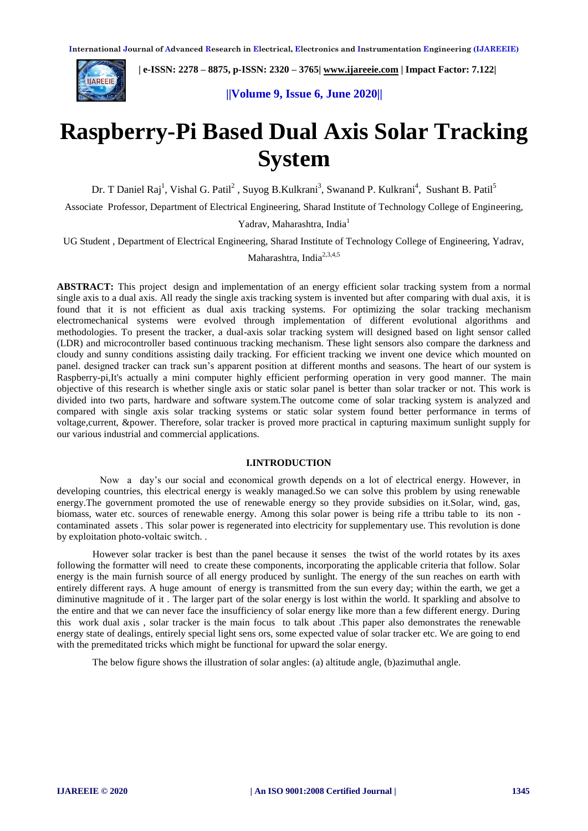

 **| e-ISSN: 2278 – 8875, p-ISSN: 2320 – 3765[| www.ijareeie.com](http://www.ijareeie.com/) | Impact Factor: 7.122|** 

 **||Volume 9, Issue 6, June 2020||** 

# **Raspberry-Pi Based Dual Axis Solar Tracking System**

Dr. T Daniel Raj<sup>1</sup>, Vishal G. Patil<sup>2</sup>, Suyog B.Kulkrani<sup>3</sup>, Swanand P. Kulkrani<sup>4</sup>, Sushant B. Patil<sup>5</sup>

Associate Professor, Department of Electrical Engineering, Sharad Institute of Technology College of Engineering,

Yadrav, Maharashtra, India<sup>1</sup>

UG Student , Department of Electrical Engineering, Sharad Institute of Technology College of Engineering, Yadrav,

Maharashtra, India<sup>2,3,4,5</sup>

**ABSTRACT:** This project design and implementation of an energy efficient solar tracking system from a normal single axis to a dual axis. All ready the single axis tracking system is invented but after comparing with dual axis, it is found that it is not efficient as dual axis tracking systems. For optimizing the solar tracking mechanism electromechanical systems were evolved through implementation of different evolutional algorithms and methodologies. To present the tracker, a dual-axis solar tracking system will designed based on light sensor called (LDR) and microcontroller based continuous tracking mechanism. These light sensors also compare the darkness and cloudy and sunny conditions assisting daily tracking. For efficient tracking we invent one device which mounted on panel. designed tracker can track sun's apparent position at different months and seasons. The heart of our system is Raspberry-pi,It's actually a mini computer highly efficient performing operation in very good manner. The main objective of this research is whether single axis or static solar panel is better than solar tracker or not. This work is divided into two parts, hardware and software system.The outcome come of solar tracking system is analyzed and compared with single axis solar tracking systems or static solar system found better performance in terms of voltage,current, &power. Therefore, solar tracker is proved more practical in capturing maximum sunlight supply for our various industrial and commercial applications.

#### **I.INTRODUCTION**

Now a day's our social and economical growth depends on a lot of electrical energy. However, in developing countries, this electrical energy is weakly managed.So we can solve this problem by using renewable energy.The government promoted the use of renewable energy so they provide subsidies on it.Solar, wind, gas, biomass, water etc. sources of renewable energy. Among this solar power is being rife a ttribu table to its non contaminated assets . This solar power is regenerated into electricity for supplementary use. This revolution is done by exploitation photo-voltaic switch. .

However solar tracker is best than the panel because it senses the twist of the world rotates by its axes following the formatter will need to create these components, incorporating the applicable criteria that follow. Solar energy is the main furnish source of all energy produced by sunlight. The energy of the sun reaches on earth with entirely different rays. A huge amount of energy is transmitted from the sun every day; within the earth, we get a diminutive magnitude of it . The larger part of the solar energy is lost within the world. It sparkling and absolve to the entire and that we can never face the insufficiency of solar energy like more than a few different energy. During this work dual axis , solar tracker is the main focus to talk about .This paper also demonstrates the renewable energy state of dealings, entirely special light sens ors, some expected value of solar tracker etc. We are going to end with the premeditated tricks which might be functional for upward the solar energy.

The below figure shows the illustration of solar angles: (a) altitude angle, (b)azimuthal angle.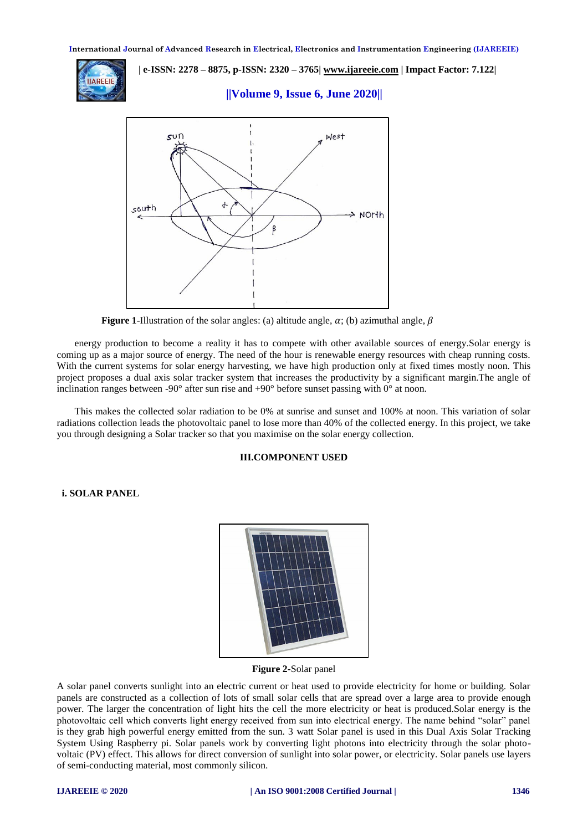

 **| e-ISSN: 2278 – 8875, p-ISSN: 2320 – 3765[| www.ijareeie.com](http://www.ijareeie.com/) | Impact Factor: 7.122|** 

 **||Volume 9, Issue 6, June 2020||** 



**Figure 1**-Illustration of the solar angles: (a) altitude angle,  $\alpha$ ; (b) azimuthal angle,  $\beta$ 

energy production to become a reality it has to compete with other available sources of energy.Solar energy is coming up as a major source of energy. The need of the hour is renewable energy resources with cheap running costs. With the current systems for solar energy harvesting, we have high production only at fixed times mostly noon. This project proposes a dual axis solar tracker system that increases the productivity by a significant margin.The angle of inclination ranges between -90 $^{\circ}$  after sun rise and +90 $^{\circ}$  before sunset passing with 0 $^{\circ}$  at noon.

This makes the collected solar radiation to be 0% at sunrise and sunset and 100% at noon. This variation of solar radiations collection leads the photovoltaic panel to lose more than 40% of the collected energy. In this project, we take you through designing a Solar tracker so that you maximise on the solar energy collection.

#### **III.COMPONENT USED**

# **i. SOLAR PANEL**



**Figure 2-**Solar panel

A solar panel converts sunlight into an electric current or heat used to provide electricity for home or building. Solar panels are constructed as a collection of lots of small [solar cells](https://www.greenmatch.co.uk/blog/2016/02/information-on-solar-panels) that are spread over a large area to provide enough power. The larger the concentration of light hits the cell the more electricity or heat is produced.Solar energy is the photovoltaic cell which converts light energy received from sun into electrical energy. The name behind "solar" panel is they grab high powerful energy emitted from the sun. 3 watt Solar panel is used in this Dual Axis Solar Tracking System Using Raspberry pi. Solar panels work by converting light photons into electricity through the solar photovoltaic (PV) effect. This allows for direct conversion of sunlight into solar power, or electricity. Solar panels use layers of semi-conducting material, most commonly silicon.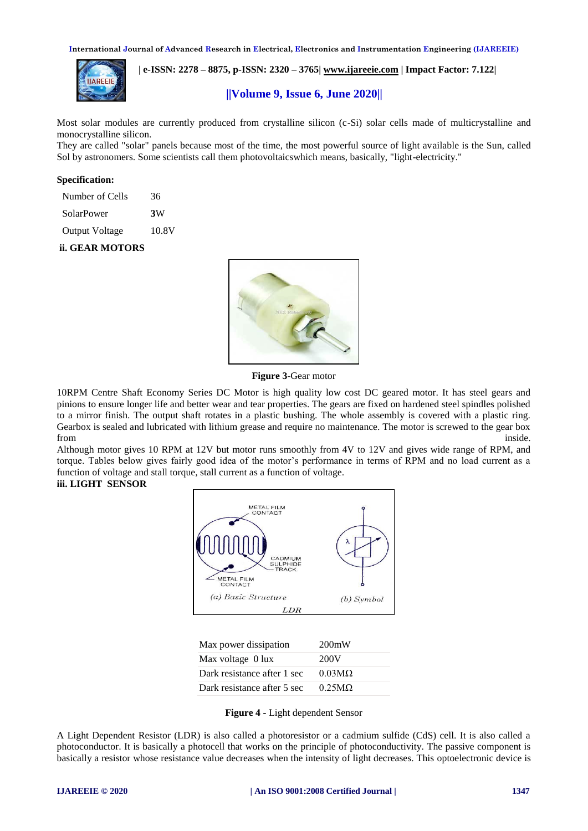

 **| e-ISSN: 2278 – 8875, p-ISSN: 2320 – 3765[| www.ijareeie.com](http://www.ijareeie.com/) | Impact Factor: 7.122|** 

# **||Volume 9, Issue 6, June 2020||**

Most solar modules are currently produced from crystalline silicon (c-Si) [solar cells](https://en.wikipedia.org/wiki/Solar_cells) made of [multicrystalline](https://en.wikipedia.org/wiki/Polycrystalline_silicon) and [monocrystalline silicon.](https://en.wikipedia.org/wiki/Monocrystalline_silicon)

They are called "solar" panels because most of the time, the most powerful source of light available is the Sun, called Sol by astronomers. Some scientists call them photovoltaicswhich means, basically, "light-electricity."

#### **Specification:**

| Number of Cells       | 36    |
|-----------------------|-------|
| SolarPower            | 3W    |
| <b>Output Voltage</b> | 10.8V |

# **ii. GEAR MOTORS**



**Figure 3**-Gear motor

10RPM Centre Shaft Economy Series DC Motor is high quality low cost DC geared motor. It has steel gears and pinions to ensure longer life and better wear and tear properties. The gears are fixed on hardened steel spindles polished to a mirror finish. The output shaft rotates in a plastic bushing. The whole assembly is covered with a plastic ring. Gearbox is sealed and lubricated with lithium grease and require no maintenance. The motor is screwed to the gear box from the contract of the contract of the contract of the contract of the contract of the contract of the contract of the contract of the contract of the contract of the contract of the contract of the contract of the contr

Although motor gives 10 RPM at 12V but motor runs smoothly from 4V to 12V and gives wide range of RPM, and torque. Tables below gives fairly good idea of the motor's performance in terms of RPM and no load current as a function of voltage and stall torque, stall current as a function of voltage.

# **iii. LIGHT SENSOR**



| Max power dissipation       | 200mW                 |
|-----------------------------|-----------------------|
| Max voltage 0 lux           | 200V                  |
| Dark resistance after 1 sec | $0.03 \text{M}\Omega$ |
| Dark resistance after 5 sec | $0.25M\Omega$         |
|                             |                       |

**Figure 4 -** Light dependent Sensor

A Light Dependent Resistor (LDR) is also called a photoresistor or a cadmium sulfide (CdS) cell. It is also called a photoconductor. It is basically a photocell that works on the principle of photoconductivity. The passive component is basically a resistor whose resistance value decreases when the intensity of light decreases. This [optoelectronic device](http://www.circuitstoday.com/optoelectronic-devices) is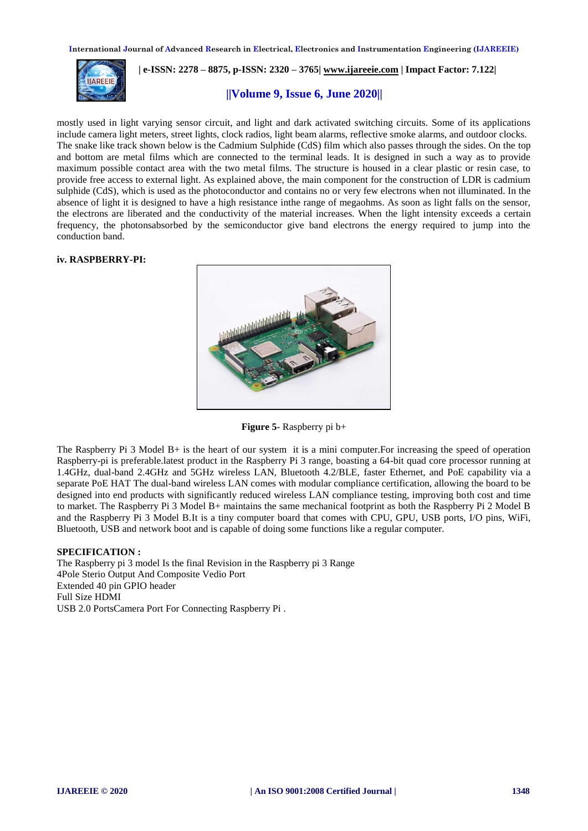

 **| e-ISSN: 2278 – 8875, p-ISSN: 2320 – 3765[| www.ijareeie.com](http://www.ijareeie.com/) | Impact Factor: 7.122|** 

# **||Volume 9, Issue 6, June 2020||**

mostly used in light varying sensor circuit, and light and dark activated switching circuits. Some of its applications include camera light meters, street lights, clock radios, light beam alarms, reflective smoke alarms, and outdoor clocks. The snake like track shown below is the Cadmium Sulphide (CdS) film which also passes through the sides. On the top and bottom are metal films which are connected to the terminal leads. It is designed in such a way as to provide maximum possible contact area with the two metal films. The structure is housed in a clear plastic or resin case, to provide free access to external light. As explained above, the main component for the construction of LDR is cadmium sulphide (CdS), which is used as the photoconductor and contains no or very few electrons when not illuminated. In the absence of light it is designed to have a high resistance inthe range of megaohms. As soon as light falls on the sensor, the electrons are liberated and the conductivity of the material increases. When the light intensity exceeds a certain frequency, the photonsabsorbed by the semiconductor give band electrons the energy required to jump into the conduction band.

## **iv. RASPBERRY-PI:**



**Figure 5**- Raspberry pi b+

The Raspberry Pi 3 Model B+ is the heart of our system it is a mini computer.For increasing the speed of operation Raspberry-pi is preferable.latest product in the Raspberry Pi 3 range, boasting a 64-bit quad core processor running at 1.4GHz, dual-band 2.4GHz and 5GHz wireless LAN, Bluetooth 4.2/BLE, faster Ethernet, and PoE capability via a separate PoE HAT The dual-band wireless LAN comes with modular compliance certification, allowing the board to be designed into end products with significantly reduced wireless LAN compliance testing, improving both cost and time to market. The Raspberry Pi 3 Model B+ maintains the same mechanical footprint as both the Raspberry Pi 2 Model B and the Raspberry Pi 3 Model B.It is a tiny computer board that comes with CPU, GPU, USB ports, I/O pins, WiFi, Bluetooth, USB and network boot and is capable of doing some functions like a regular computer.

#### **SPECIFICATION :**

The Raspberry pi 3 model Is the final Revision in the Raspberry pi 3 Range 4Pole Sterio Output And Composite Vedio Port Extended 40 pin GPIO header Full Size HDMI USB 2.0 PortsCamera Port For Connecting Raspberry Pi .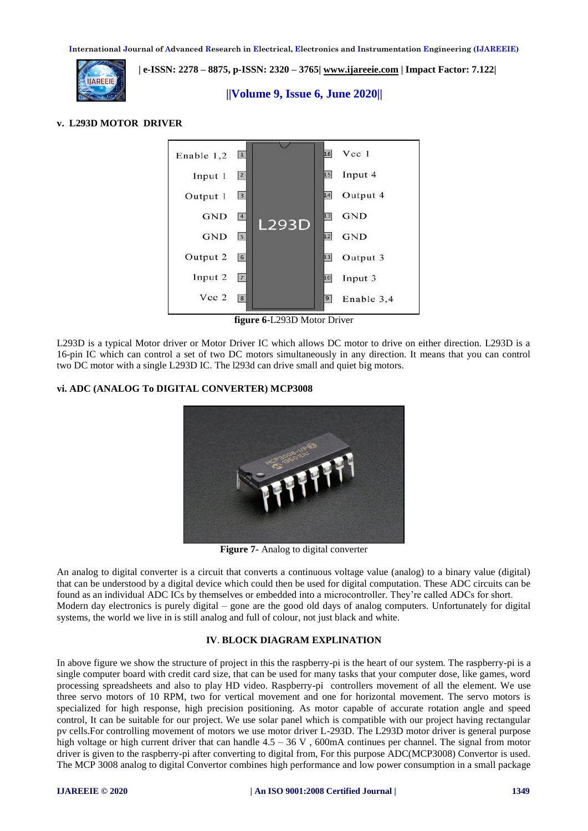

 **| e-ISSN: 2278 – 8875, p-ISSN: 2320 – 3765[| www.ijareeie.com](http://www.ijareeie.com/) | Impact Factor: 7.122|** 

 **||Volume 9, Issue 6, June 2020||** 

## **v. L293D MOTOR DRIVER**



**figure 6**-L293D Motor Driver

L293D is a typical Motor driver or Motor Driver IC which allows DC motor to drive on either direction. L293D is a 16-pin IC which can control a set of two DC motors simultaneously in any direction. It means that you can control two [DC motor](https://www.rakeshmondal.info/High-Torque-Motor-Low-RPM-Motor) with a single L293D IC. The l293d can drive small and quiet big motors.

# **vi. ADC (ANALOG To DIGITAL CONVERTER) MCP3008**



**Figure 7-** Analog to digital converter

An analog to digital converter is a circuit that converts a continuous voltage value (analog) to a binary value (digital) that can be understood by a digital device which could then be used for digital computation. These ADC circuits can be found as an individual ADC ICs by themselves or embedded into a microcontroller. They're called ADCs for short. Modern day electronics is purely digital – gone are the good old days of analog computers. Unfortunately for digital systems, the world we live in is still analog and full of colour, not just black and white.

#### **IV**. **BLOCK DIAGRAM EXPLINATION**

In above figure we show the structure of project in this the raspberry-pi is the heart of our system. The raspberry-pi is a single computer board with credit card size, that can be used for many tasks that your computer dose, like games, word processing spreadsheets and also to play HD video. Raspberry-pi controllers movement of all the element. We use three servo motors of 10 RPM, two for vertical movement and one for horizontal movement. The servo motors is specialized for high response, high precision positioning. As motor capable of accurate rotation angle and speed control, It can be suitable for our project. We use solar panel which is compatible with our project having rectangular pv cells.For controlling movement of motors we use motor driver L-293D. The L293D motor driver is general purpose high voltage or high current driver that can handle 4.5 – 36 V, 600mA continues per channel. The signal from motor driver is given to the raspberry-pi after converting to digital from, For this purpose ADC(MCP3008) Convertor is used. The MCP 3008 analog to digital Convertor combines high performance and low power consumption in a small package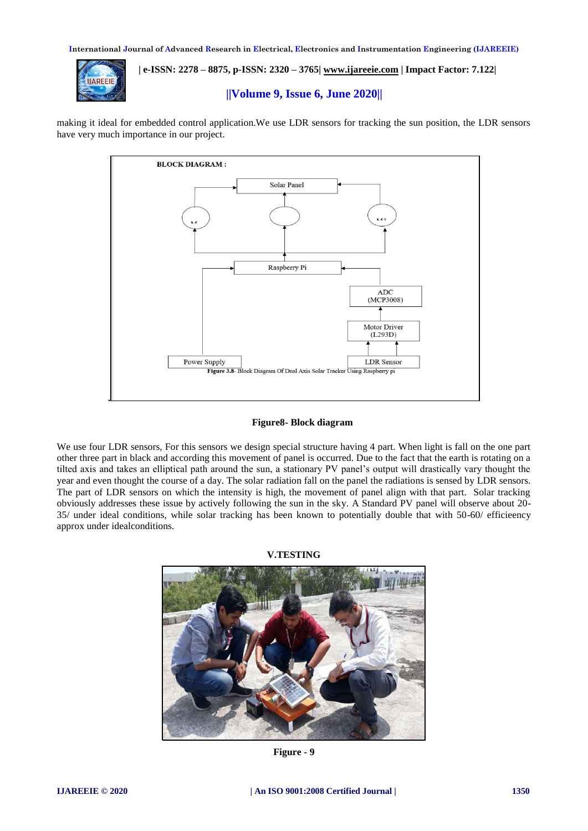

 **| e-ISSN: 2278 – 8875, p-ISSN: 2320 – 3765[| www.ijareeie.com](http://www.ijareeie.com/) | Impact Factor: 7.122|** 

# **||Volume 9, Issue 6, June 2020||**

making it ideal for embedded control application.We use LDR sensors for tracking the sun position, the LDR sensors have very much importance in our project.



#### **Figure8- Block diagram**

We use four LDR sensors, For this sensors we design special structure having 4 part. When light is fall on the one part other three part in black and according this movement of panel is occurred. Due to the fact that the earth is rotating on a tilted axis and takes an elliptical path around the sun, a stationary PV panel's output will drastically vary thought the year and even thought the course of a day. The solar radiation fall on the panel the radiations is sensed by LDR sensors. The part of LDR sensors on which the intensity is high, the movement of panel align with that part. Solar tracking obviously addresses these issue by actively following the sun in the sky. A Standard PV panel will observe about 20- 35/ under ideal conditions, while solar tracking has been known to potentially double that with 50-60/ efficieency approx under idealconditions.



**V.TESTING**

**Figure - 9**